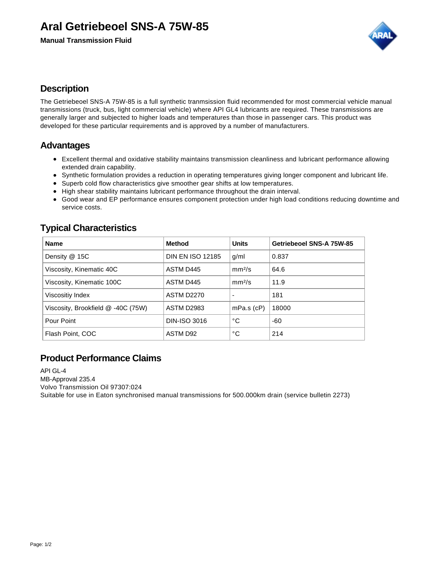# **Aral Getriebeoel SNS-A 75W-85**

**Manual Transmission Fluid**



### **Description**

The Getriebeoel SNS-A 75W-85 is a full synthetic tranmsission fluid recommended for most commercial vehicle manual transmissions (truck, bus, light commercial vehicle) where API GL4 lubricants are required. These transmissions are generally larger and subjected to higher loads and temperatures than those in passenger cars. This product was developed for these particular requirements and is approved by a number of manufacturers.

### **Advantages**

- Excellent thermal and oxidative stability maintains transmission cleanliness and lubricant performance allowing extended drain capability.
- Synthetic formulation provides a reduction in operating temperatures giving longer component and lubricant life.
- Superb cold flow characteristics give smoother gear shifts at low temperatures.
- High shear stability maintains lubricant performance throughout the drain interval.
- Good wear and EP performance ensures component protection under high load conditions reducing downtime and service costs.

## **Typical Characteristics**

| <b>Name</b>                        | <b>Method</b>           | <b>Units</b>             | Getriebeoel SNS-A 75W-85 |
|------------------------------------|-------------------------|--------------------------|--------------------------|
| Density @ 15C                      | <b>DIN EN ISO 12185</b> | g/ml                     | 0.837                    |
| Viscosity, Kinematic 40C           | ASTM D445               | mm <sup>2</sup> /s       | 64.6                     |
| Viscosity, Kinematic 100C          | ASTM D445               | mm <sup>2</sup> /s       | 11.9                     |
| Viscositiy Index                   | <b>ASTM D2270</b>       | $\overline{\phantom{0}}$ | 181                      |
| Viscosity, Brookfield @ -40C (75W) | <b>ASTM D2983</b>       | $mPa.s$ ( $cP$ )         | 18000                    |
| Pour Point                         | DIN-ISO 3016            | °C                       | -60                      |
| Flash Point, COC                   | ASTM D92                | °C                       | 214                      |

### **Product Performance Claims**

API GL-4 MB-Approval 235.4 Volvo Transmission Oil 97307:024 Suitable for use in Eaton synchronised manual transmissions for 500.000km drain (service bulletin 2273)